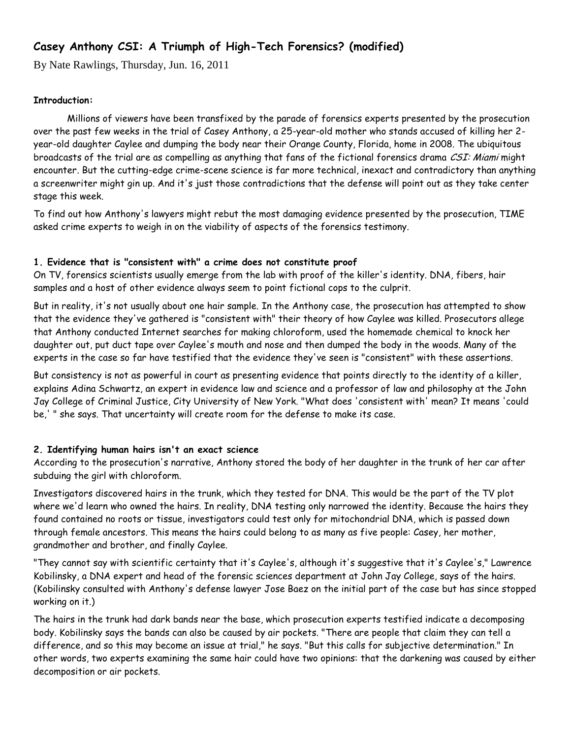# **Casey Anthony CSI: A Triumph of High-Tech Forensics? (modified)**

By Nate Rawlings, Thursday, Jun. 16, 2011

### **Introduction:**

Millions of viewers have been transfixed by the parade of forensics experts presented by the prosecution over the past few weeks in the trial of Casey Anthony, a 25-year-old mother who stands accused of killing her 2 year-old daughter Caylee and dumping the body near their Orange County, Florida, home in 2008. The ubiquitous broadcasts of the trial are as compelling as anything that fans of the fictional forensics drama CSI: Miami might encounter. But the cutting-edge crime-scene science is far more technical, inexact and contradictory than anything a screenwriter might gin up. And it's just those contradictions that the defense will point out as they take center stage this week.

To find out how Anthony's lawyers might rebut the most damaging evidence presented by the prosecution, TIME asked crime experts to weigh in on the viability of aspects of the forensics testimony.

#### **1. Evidence that is "consistent with" a crime does not constitute proof**

On TV, forensics scientists usually emerge from the lab with proof of the killer's identity. DNA, fibers, hair samples and a host of other evidence always seem to point fictional cops to the culprit.

But in reality, it's not usually about one hair sample. In the Anthony case, the prosecution has attempted to show that the evidence they've gathered is "consistent with" their theory of how Caylee was killed. Prosecutors allege that Anthony conducted Internet searches for making chloroform, used the homemade chemical to knock her daughter out, put duct tape over Caylee's mouth and nose and then dumped the body in the woods. Many of the experts in the case so far have testified that the evidence they've seen is "consistent" with these assertions.

But consistency is not as powerful in court as presenting evidence that points directly to the identity of a killer, explains Adina Schwartz, an expert in evidence law and science and a professor of law and philosophy at the John Jay College of Criminal Justice, City University of New York. "What does 'consistent with' mean? It means 'could be,' " she says. That uncertainty will create room for the defense to make its case.

## **2. Identifying human hairs isn't an exact science**

According to the prosecution's narrative, Anthony stored the body of her daughter in the trunk of her car after subduing the girl with chloroform.

Investigators discovered hairs in the trunk, which they tested for DNA. This would be the part of the TV plot where we'd learn who owned the hairs. In reality, DNA testing only narrowed the identity. Because the hairs they found contained no roots or tissue, investigators could test only for mitochondrial DNA, which is passed down through female ancestors. This means the hairs could belong to as many as five people: Casey, her mother, grandmother and brother, and finally Caylee.

"They cannot say with scientific certainty that it's Caylee's, although it's suggestive that it's Caylee's," Lawrence Kobilinsky, a DNA expert and head of the forensic sciences department at John Jay College, says of the hairs. (Kobilinsky consulted with Anthony's defense lawyer Jose Baez on the initial part of the case but has since stopped working on it.)

The hairs in the trunk had dark bands near the base, which prosecution experts testified indicate a decomposing body. Kobilinsky says the bands can also be caused by air pockets. "There are people that claim they can tell a difference, and so this may become an issue at trial," he says. "But this calls for subjective determination." In other words, two experts examining the same hair could have two opinions: that the darkening was caused by either decomposition or air pockets.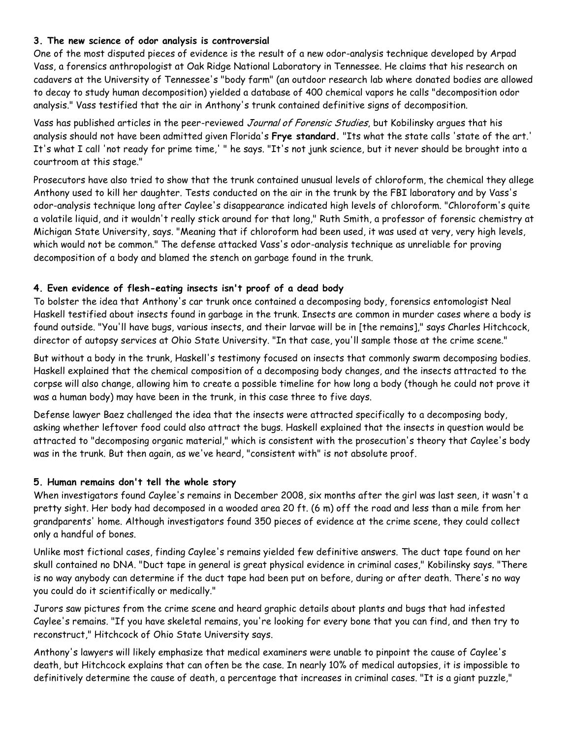### **3. The new science of odor analysis is controversial**

One of the most disputed pieces of evidence is the result of a new odor-analysis technique developed by Arpad Vass, a forensics anthropologist at Oak Ridge National Laboratory in Tennessee. He claims that his research on cadavers at the University of Tennessee's "body farm" (an outdoor research lab where donated bodies are allowed to decay to study human decomposition) yielded a database of 400 chemical vapors he calls "decomposition odor analysis." Vass testified that the air in Anthony's trunk contained definitive signs of decomposition.

Vass has published articles in the peer-reviewed Journal of Forensic Studies, but Kobilinsky argues that his analysis should not have been admitted given Florida's **Frye standard.** "Its what the state calls 'state of the art.' It's what I call 'not ready for prime time,' " he says. "It's not junk science, but it never should be brought into a courtroom at this stage."

Prosecutors have also tried to show that the trunk contained unusual levels of chloroform, the chemical they allege Anthony used to kill her daughter. Tests conducted on the air in the trunk by the FBI laboratory and by Vass's odor-analysis technique long after Caylee's disappearance indicated high levels of chloroform. "Chloroform's quite a volatile liquid, and it wouldn't really stick around for that long," Ruth Smith, a professor of forensic chemistry at Michigan State University, says. "Meaning that if chloroform had been used, it was used at very, very high levels, which would not be common." The defense attacked Vass's odor-analysis technique as unreliable for proving decomposition of a body and blamed the stench on garbage found in the trunk.

## **4. Even evidence of flesh-eating insects isn't proof of a dead body**

To bolster the idea that Anthony's car trunk once contained a decomposing body, forensics entomologist Neal Haskell testified about insects found in garbage in the trunk. Insects are common in murder cases where a body is found outside. "You'll have bugs, various insects, and their larvae will be in [the remains]," says Charles Hitchcock, director of autopsy services at Ohio State University. "In that case, you'll sample those at the crime scene."

But without a body in the trunk, Haskell's testimony focused on insects that commonly swarm decomposing bodies. Haskell explained that the chemical composition of a decomposing body changes, and the insects attracted to the corpse will also change, allowing him to create a possible timeline for how long a body (though he could not prove it was a human body) may have been in the trunk, in this case three to five days.

Defense lawyer Baez challenged the idea that the insects were attracted specifically to a decomposing body, asking whether leftover food could also attract the bugs. Haskell explained that the insects in question would be attracted to "decomposing organic material," which is consistent with the prosecution's theory that Caylee's body was in the trunk. But then again, as we've heard, "consistent with" is not absolute proof.

## **5. Human remains don't tell the whole story**

When investigators found Caylee's remains in December 2008, six months after the girl was last seen, it wasn't a pretty sight. Her body had decomposed in a wooded area 20 ft. (6 m) off the road and less than a mile from her grandparents' home. Although investigators found 350 pieces of evidence at the crime scene, they could collect only a handful of bones.

Unlike most fictional cases, finding Caylee's remains yielded few definitive answers. The duct tape found on her skull contained no DNA. "Duct tape in general is great physical evidence in criminal cases," Kobilinsky says. "There is no way anybody can determine if the duct tape had been put on before, during or after death. There's no way you could do it scientifically or medically."

Jurors saw pictures from the crime scene and heard graphic details about plants and bugs that had infested Caylee's remains. "If you have skeletal remains, you're looking for every bone that you can find, and then try to reconstruct," Hitchcock of Ohio State University says.

Anthony's lawyers will likely emphasize that medical examiners were unable to pinpoint the cause of Caylee's death, but Hitchcock explains that can often be the case. In nearly 10% of medical autopsies, it is impossible to definitively determine the cause of death, a percentage that increases in criminal cases. "It is a giant puzzle,"